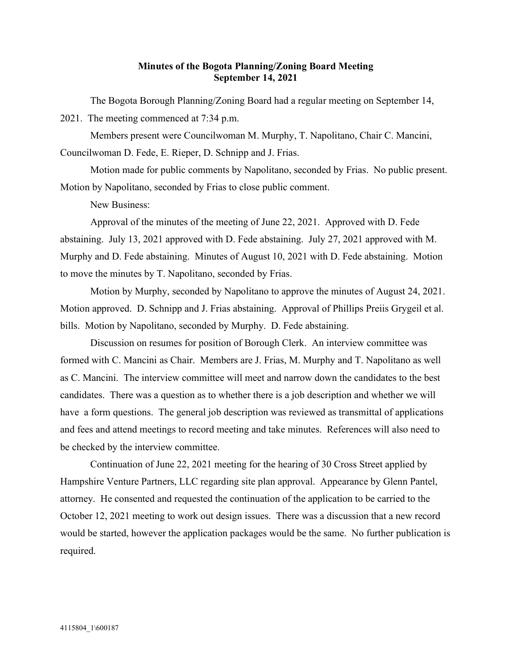## Minutes of the Bogota Planning/Zoning Board Meeting September 14, 2021

The Bogota Borough Planning/Zoning Board had a regular meeting on September 14, 2021. The meeting commenced at 7:34 p.m.

Members present were Councilwoman M. Murphy, T. Napolitano, Chair C. Mancini,

Councilwoman D. Fede, E. Rieper, D. Schnipp and J. Frias.

Motion made for public comments by Napolitano, seconded by Frias. No public present. Motion by Napolitano, seconded by Frias to close public comment.

New Business:

Approval of the minutes of the meeting of June 22, 2021. Approved with D. Fede abstaining. July 13, 2021 approved with D. Fede abstaining. July 27, 2021 approved with M. Murphy and D. Fede abstaining. Minutes of August 10, 2021 with D. Fede abstaining. Motion to move the minutes by T. Napolitano, seconded by Frias.

Motion by Murphy, seconded by Napolitano to approve the minutes of August 24, 2021. Motion approved. D. Schnipp and J. Frias abstaining. Approval of Phillips Preiis Grygeil et al. bills. Motion by Napolitano, seconded by Murphy. D. Fede abstaining.

Discussion on resumes for position of Borough Clerk. An interview committee was formed with C. Mancini as Chair. Members are J. Frias, M. Murphy and T. Napolitano as well as C. Mancini. The interview committee will meet and narrow down the candidates to the best candidates. There was a question as to whether there is a job description and whether we will have a form questions. The general job description was reviewed as transmittal of applications and fees and attend meetings to record meeting and take minutes. References will also need to be checked by the interview committee.

Continuation of June 22, 2021 meeting for the hearing of 30 Cross Street applied by Hampshire Venture Partners, LLC regarding site plan approval. Appearance by Glenn Pantel, attorney. He consented and requested the continuation of the application to be carried to the October 12, 2021 meeting to work out design issues. There was a discussion that a new record would be started, however the application packages would be the same. No further publication is required.